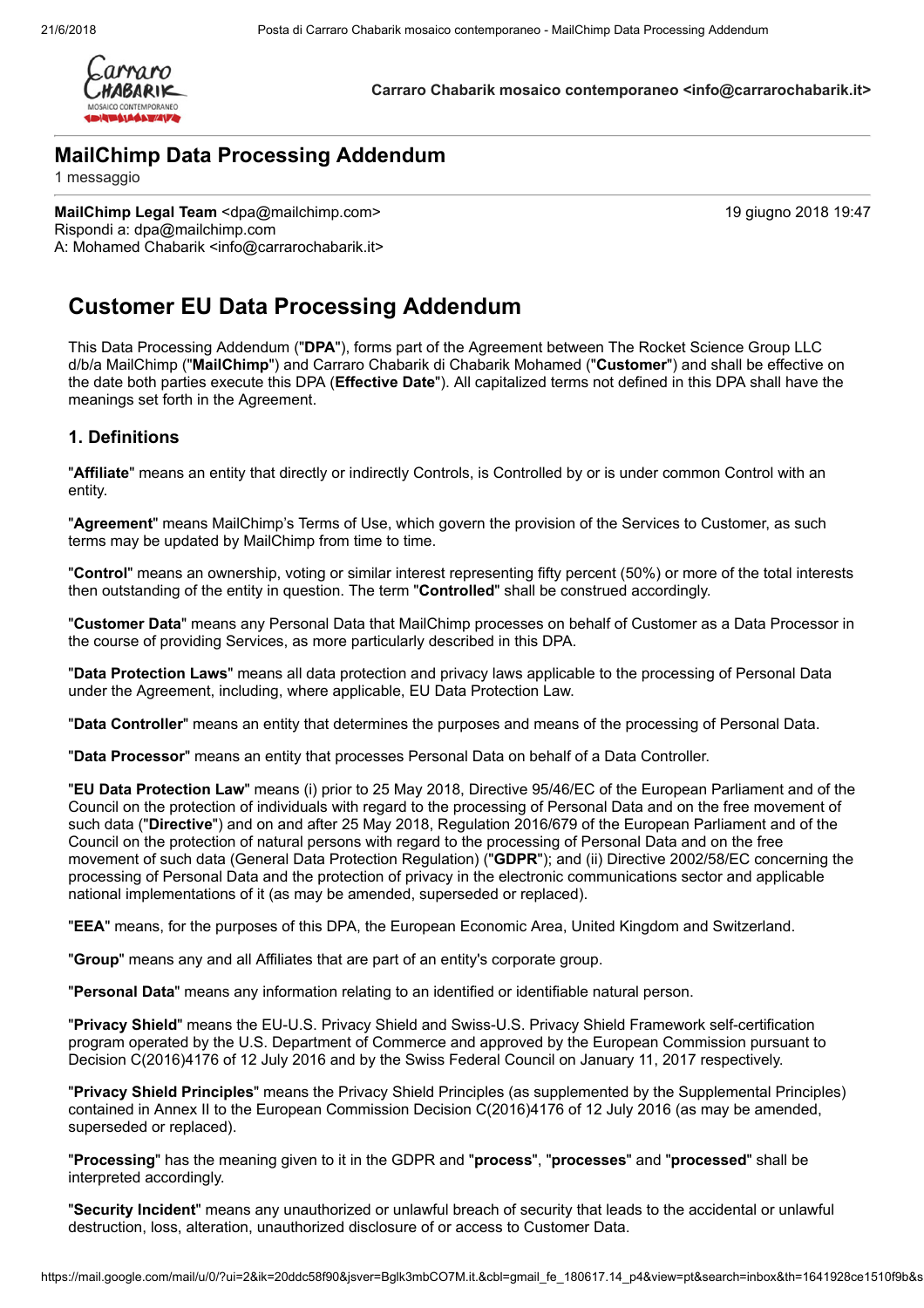

Carraro Chabarik mosaico contemporaneo <info@carrarochabarik.it>

### MailChimp Data Processing Addendum

1 messaggio

MailChimp Legal Team <dpa@mailchimp.com> 19 giugno 2018 19:47 Rispondi a: dpa@mailchimp.com A: Mohamed Chabarik <info@carrarochabarik.it>

## Customer EU Data Processing Addendum

This Data Processing Addendum ("DPA"), forms part of the Agreement between The Rocket Science Group LLC d/b/a MailChimp ("MailChimp") and Carraro Chabarik di Chabarik Mohamed ("Customer") and shall be effective on the date both parties execute this DPA (Effective Date"). All capitalized terms not defined in this DPA shall have the meanings set forth in the Agreement.

### 1. Definitions

"Affiliate" means an entity that directly or indirectly Controls, is Controlled by or is under common Control with an entity.

"Aareement" means MailChimp's Terms of Use, which govern the provision of the Services to Customer, as such terms may be updated by MailChimp from time to time.

"Control" means an ownership, voting or similar interest representing fifty percent (50%) or more of the total interests then outstanding of the entity in question. The term "Controlled" shall be construed accordingly.

"Customer Data" means any Personal Data that MailChimp processes on behalf of Customer as a Data Processor in the course of providing Services, as more particularly described in this DPA.

"Data Protection Laws" means all data protection and privacy laws applicable to the processing of Personal Data under the Agreement, including, where applicable, EU Data Protection Law.

"Data Controller" means an entity that determines the purposes and means of the processing of Personal Data.

"Data Processor" means an entity that processes Personal Data on behalf of a Data Controller.

"EU Data Protection Law" means (i) prior to 25 May 2018, Directive 95/46/EC of the European Parliament and of the Council on the protection of individuals with regard to the processing of Personal Data and on the free movement of such data ("Directive") and on and after 25 May 2018, Regulation 2016/679 of the European Parliament and of the Council on the protection of natural persons with regard to the processing of Personal Data and on the free movement of such data (General Data Protection Regulation) ("GDPR"); and (ii) Directive 2002/58/EC concerning the processing of Personal Data and the protection of privacy in the electronic communications sector and applicable national implementations of it (as may be amended, superseded or replaced).

"EEA" means, for the purposes of this DPA, the European Economic Area, United Kingdom and Switzerland.

"Group" means any and all Affiliates that are part of an entity's corporate group.

"Personal Data" means any information relating to an identified or identifiable natural person.

"Privacy Shield" means the EU-U.S. Privacy Shield and Swiss-U.S. Privacy Shield Framework self-certification program operated by the U.S. Department of Commerce and approved by the European Commission pursuant to Decision C(2016)4176 of 12 July 2016 and by the Swiss Federal Council on January 11, 2017 respectively.

"Privacy Shield Principles" means the Privacy Shield Principles (as supplemented by the Supplemental Principles) contained in Annex II to the European Commission Decision C(2016)4176 of 12 July 2016 (as may be amended, superseded or replaced).

"Processing" has the meaning given to it in the GDPR and "process", "processes" and "processed" shall be interpreted accordingly.

"Security Incident" means any unauthorized or unlawful breach of security that leads to the accidental or unlawful destruction, loss, alteration, unauthorized disclosure of or access to Customer Data.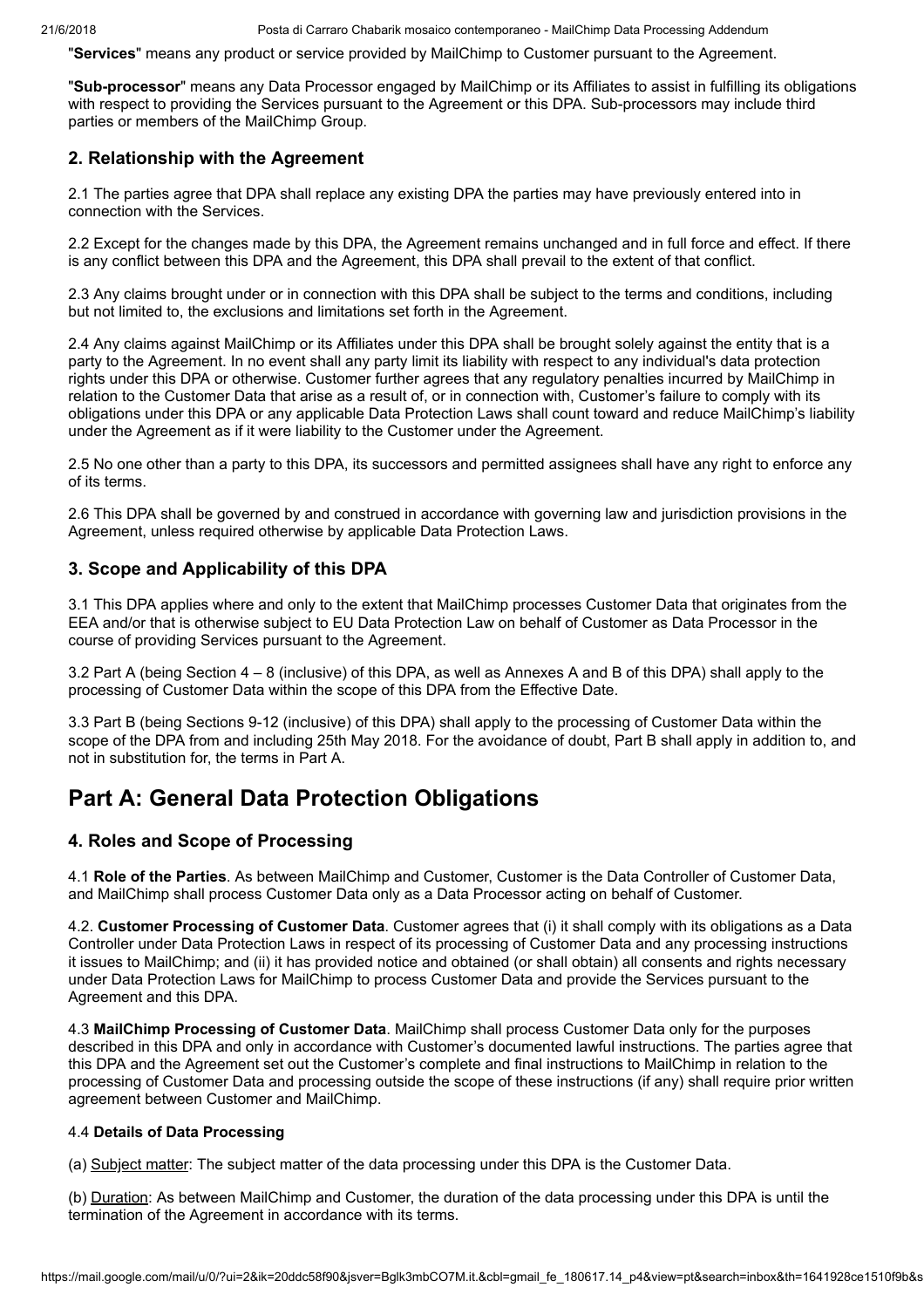21/6/2018 Posta di Carraro Chabarik mosaico contemporaneo - MailChimp Data Processing Addendum

"Services" means any product or service provided by MailChimp to Customer pursuant to the Agreement.

"Sub-processor" means any Data Processor engaged by MailChimp or its Affiliates to assist in fulfilling its obligations with respect to providing the Services pursuant to the Agreement or this DPA. Sub-processors may include third parties or members of the MailChimp Group.

#### 2. Relationship with the Agreement

2.1 The parties agree that DPA shall replace any existing DPA the parties may have previously entered into in connection with the Services.

2.2 Except for the changes made by this DPA, the Agreement remains unchanged and in full force and effect. If there is any conflict between this DPA and the Agreement, this DPA shall prevail to the extent of that conflict.

2.3 Any claims brought under or in connection with this DPA shall be subject to the terms and conditions, including but not limited to, the exclusions and limitations set forth in the Agreement.

2.4 Any claims against MailChimp or its Affiliates under this DPA shall be brought solely against the entity that is a party to the Agreement. In no event shall any party limit its liability with respect to any individual's data protection rights under this DPA or otherwise. Customer further agrees that any regulatory penalties incurred by MailChimp in relation to the Customer Data that arise as a result of, or in connection with, Customer's failure to comply with its obligations under this DPA or any applicable Data Protection Laws shall count toward and reduce MailChimp's liability under the Agreement as if it were liability to the Customer under the Agreement.

2.5 No one other than a party to this DPA, its successors and permitted assignees shall have any right to enforce any of its terms.

2.6 This DPA shall be governed by and construed in accordance with governing law and jurisdiction provisions in the Agreement, unless required otherwise by applicable Data Protection Laws.

#### 3. Scope and Applicability of this DPA

3.1 This DPA applies where and only to the extent that MailChimp processes Customer Data that originates from the EEA and/or that is otherwise subject to EU Data Protection Law on behalf of Customer as Data Processor in the course of providing Services pursuant to the Agreement.

3.2 Part A (being Section 4 – 8 (inclusive) of this DPA, as well as Annexes A and B of this DPA) shall apply to the processing of Customer Data within the scope of this DPA from the Effective Date.

3.3 Part B (being Sections 9-12 (inclusive) of this DPA) shall apply to the processing of Customer Data within the scope of the DPA from and including 25th May 2018. For the avoidance of doubt, Part B shall apply in addition to, and not in substitution for, the terms in Part A.

### Part A: General Data Protection Obligations

#### 4. Roles and Scope of Processing

4.1 Role of the Parties. As between MailChimp and Customer, Customer is the Data Controller of Customer Data, and MailChimp shall process Customer Data only as a Data Processor acting on behalf of Customer.

4.2. Customer Processing of Customer Data. Customer agrees that (i) it shall comply with its obligations as a Data Controller under Data Protection Laws in respect of its processing of Customer Data and any processing instructions it issues to MailChimp; and (ii) it has provided notice and obtained (or shall obtain) all consents and rights necessary under Data Protection Laws for MailChimp to process Customer Data and provide the Services pursuant to the Agreement and this DPA.

4.3 MailChimp Processing of Customer Data. MailChimp shall process Customer Data only for the purposes described in this DPA and only in accordance with Customer's documented lawful instructions. The parties agree that this DPA and the Agreement set out the Customer's complete and final instructions to MailChimp in relation to the processing of Customer Data and processing outside the scope of these instructions (if any) shall require prior written agreement between Customer and MailChimp.

#### 4.4 Details of Data Processing

(a) Subject matter: The subject matter of the data processing under this DPA is the Customer Data.

(b) Duration: As between MailChimp and Customer, the duration of the data processing under this DPA is until the termination of the Agreement in accordance with its terms.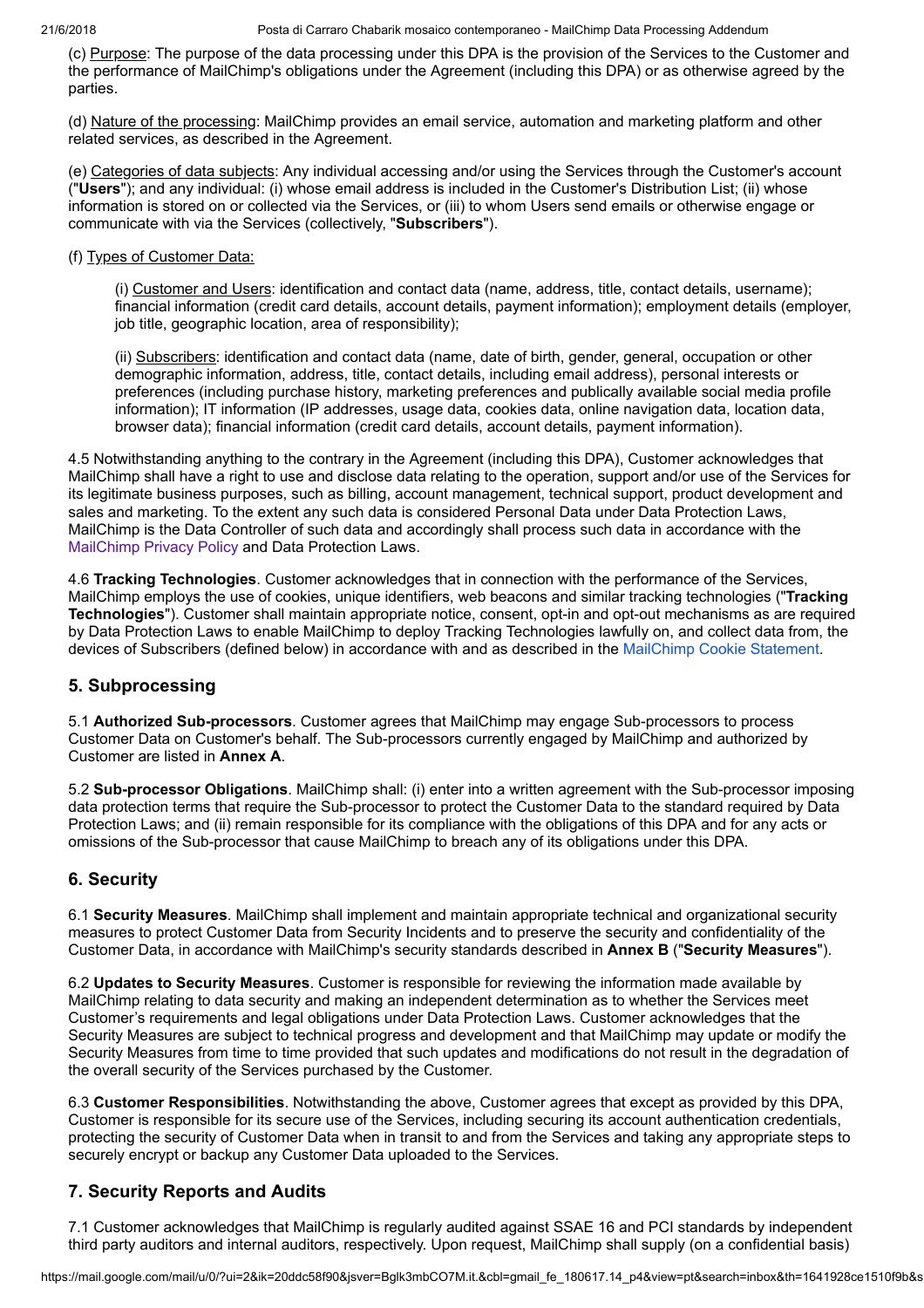(c) Purpose: The purpose of the data processing under this DPA is the provision of the Services to the Customer and the performance of MailChimp's obligations under the Agreement (including this DPA) or as otherwise agreed by the parties.

(d) Nature of the processing: MailChimp provides an email service, automation and marketing platform and other related services, as described in the Agreement.

(e) Categories of data subjects: Any individual accessing and/or using the Services through the Customer's account ("Users"); and any individual: (i) whose email address is included in the Customer's Distribution List; (ii) whose information is stored on or collected via the Services, or (iii) to whom Users send emails or otherwise engage or communicate with via the Services (collectively, "Subscribers").

(f) Types of Customer Data:

(i) Customer and Users: identification and contact data (name, address, title, contact details, username); financial information (credit card details, account details, payment information); employment details (employer, job title, geographic location, area of responsibility);

(ii) Subscribers: identification and contact data (name, date of birth, gender, general, occupation or other demographic information, address, title, contact details, including email address), personal interests or preferences (including purchase history, marketing preferences and publically available social media profile information); IT information (IP addresses, usage data, cookies data, online navigation data, location data, browser data); financial information (credit card details, account details, payment information).

4.5 Notwithstanding anything to the contrary in the Agreement (including this DPA), Customer acknowledges that MailChimp shall have a right to use and disclose data relating to the operation, support and/or use of the Services for its legitimate business purposes, such as billing, account management, technical support, product development and sales and marketing. To the extent any such data is considered Personal Data under Data Protection Laws, MailChimp is the Data Controller of such data and accordingly shall process such data in accordance with the [MailChimp Privacy Policy](https://mailchimp.com/legal/privacy/) and Data Protection Laws.

4.6 Tracking Technologies. Customer acknowledges that in connection with the performance of the Services, MailChimp employs the use of cookies, unique identifiers, web beacons and similar tracking technologies ("Tracking Technologies"). Customer shall maintain appropriate notice, consent, opt-in and opt-out mechanisms as are required by Data Protection Laws to enable MailChimp to deploy Tracking Technologies lawfully on, and collect data from, the devices of Subscribers (defined below) in accordance with and as described in the [MailChimp Cookie Statement.](http://legal/cookies/)

### 5. Subprocessing

5.1 Authorized Sub-processors. Customer agrees that MailChimp may engage Sub-processors to process Customer Data on Customer's behalf. The Sub-processors currently engaged by MailChimp and authorized by Customer are listed in Annex A.

5.2 Sub-processor Obligations. MailChimp shall: (i) enter into a written agreement with the Sub-processor imposing data protection terms that require the Sub-processor to protect the Customer Data to the standard required by Data Protection Laws; and (ii) remain responsible for its compliance with the obligations of this DPA and for any acts or omissions of the Sub-processor that cause MailChimp to breach any of its obligations under this DPA.

### 6. Security

6.1 Security Measures. MailChimp shall implement and maintain appropriate technical and organizational security measures to protect Customer Data from Security Incidents and to preserve the security and confidentiality of the Customer Data, in accordance with MailChimp's security standards described in Annex B ("Security Measures").

6.2 Updates to Security Measures. Customer is responsible for reviewing the information made available by MailChimp relating to data security and making an independent determination as to whether the Services meet Customer's requirements and legal obligations under Data Protection Laws. Customer acknowledges that the Security Measures are subject to technical progress and development and that MailChimp may update or modify the Security Measures from time to time provided that such updates and modifications do not result in the degradation of the overall security of the Services purchased by the Customer.

6.3 Customer Responsibilities. Notwithstanding the above, Customer agrees that except as provided by this DPA, Customer is responsible for its secure use of the Services, including securing its account authentication credentials, protecting the security of Customer Data when in transit to and from the Services and taking any appropriate steps to securely encrypt or backup any Customer Data uploaded to the Services.

### 7. Security Reports and Audits

7.1 Customer acknowledges that MailChimp is regularly audited against SSAE 16 and PCI standards by independent third party auditors and internal auditors, respectively. Upon request, MailChimp shall supply (on a confidential basis)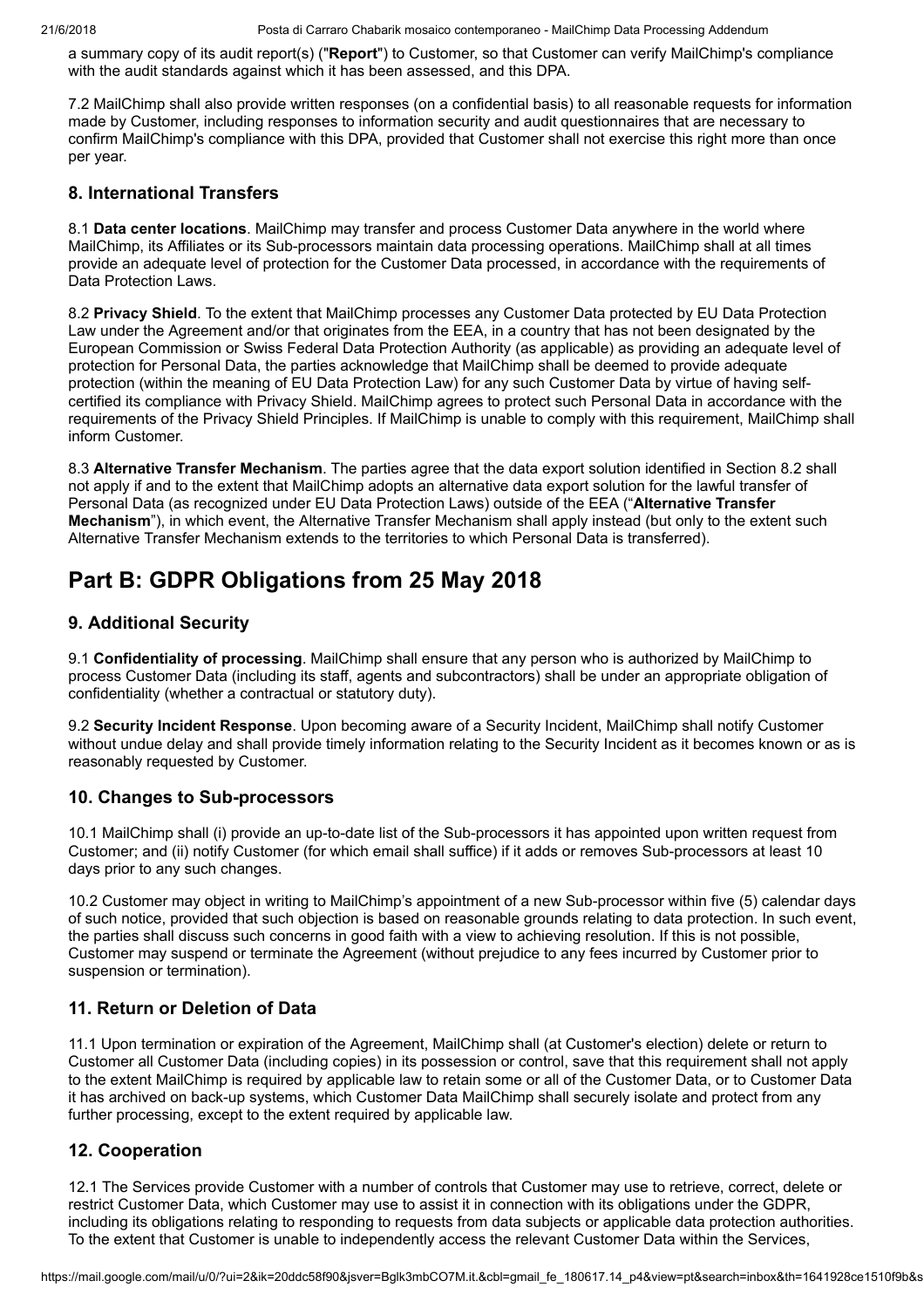a summary copy of its audit report(s) ("Report") to Customer, so that Customer can verify MailChimp's compliance with the audit standards against which it has been assessed, and this DPA.

7.2 MailChimp shall also provide written responses (on a confidential basis) to all reasonable requests for information made by Customer, including responses to information security and audit questionnaires that are necessary to confirm MailChimp's compliance with this DPA, provided that Customer shall not exercise this right more than once per year.

#### 8. International Transfers

8.1 Data center locations. MailChimp may transfer and process Customer Data anywhere in the world where MailChimp, its Affiliates or its Sub-processors maintain data processing operations. MailChimp shall at all times provide an adequate level of protection for the Customer Data processed, in accordance with the requirements of Data Protection Laws.

8.2 Privacy Shield. To the extent that MailChimp processes any Customer Data protected by EU Data Protection Law under the Agreement and/or that originates from the EEA, in a country that has not been designated by the European Commission or Swiss Federal Data Protection Authority (as applicable) as providing an adequate level of protection for Personal Data, the parties acknowledge that MailChimp shall be deemed to provide adequate protection (within the meaning of EU Data Protection Law) for any such Customer Data by virtue of having selfcertified its compliance with Privacy Shield. MailChimp agrees to protect such Personal Data in accordance with the requirements of the Privacy Shield Principles. If MailChimp is unable to comply with this requirement, MailChimp shall inform Customer.

8.3 Alternative Transfer Mechanism. The parties agree that the data export solution identified in Section 8.2 shall not apply if and to the extent that MailChimp adopts an alternative data export solution for the lawful transfer of Personal Data (as recognized under EU Data Protection Laws) outside of the EEA ("Alternative Transfer Mechanism"), in which event, the Alternative Transfer Mechanism shall apply instead (but only to the extent such Alternative Transfer Mechanism extends to the territories to which Personal Data is transferred).

## Part B: GDPR Obligations from 25 May 2018

### 9. Additional Security

9.1 Confidentiality of processing. MailChimp shall ensure that any person who is authorized by MailChimp to process Customer Data (including its staff, agents and subcontractors) shall be under an appropriate obligation of confidentiality (whether a contractual or statutory duty).

9.2 Security Incident Response. Upon becoming aware of a Security Incident, MailChimp shall notify Customer without undue delay and shall provide timely information relating to the Security Incident as it becomes known or as is reasonably requested by Customer.

### 10. Changes to Sub-processors

10.1 MailChimp shall (i) provide an up-to-date list of the Sub-processors it has appointed upon written request from Customer; and (ii) notify Customer (for which email shall suffice) if it adds or removes Sub-processors at least 10 days prior to any such changes.

10.2 Customer may object in writing to MailChimp's appointment of a new Sub-processor within five (5) calendar days of such notice, provided that such objection is based on reasonable grounds relating to data protection. In such event, the parties shall discuss such concerns in good faith with a view to achieving resolution. If this is not possible, Customer may suspend or terminate the Agreement (without prejudice to any fees incurred by Customer prior to suspension or termination).

### 11. Return or Deletion of Data

11.1 Upon termination or expiration of the Agreement, MailChimp shall (at Customer's election) delete or return to Customer all Customer Data (including copies) in its possession or control, save that this requirement shall not apply to the extent MailChimp is required by applicable law to retain some or all of the Customer Data, or to Customer Data it has archived on back-up systems, which Customer Data MailChimp shall securely isolate and protect from any further processing, except to the extent required by applicable law.

### 12. Cooperation

12.1 The Services provide Customer with a number of controls that Customer may use to retrieve, correct, delete or restrict Customer Data, which Customer may use to assist it in connection with its obligations under the GDPR, including its obligations relating to responding to requests from data subjects or applicable data protection authorities. To the extent that Customer is unable to independently access the relevant Customer Data within the Services,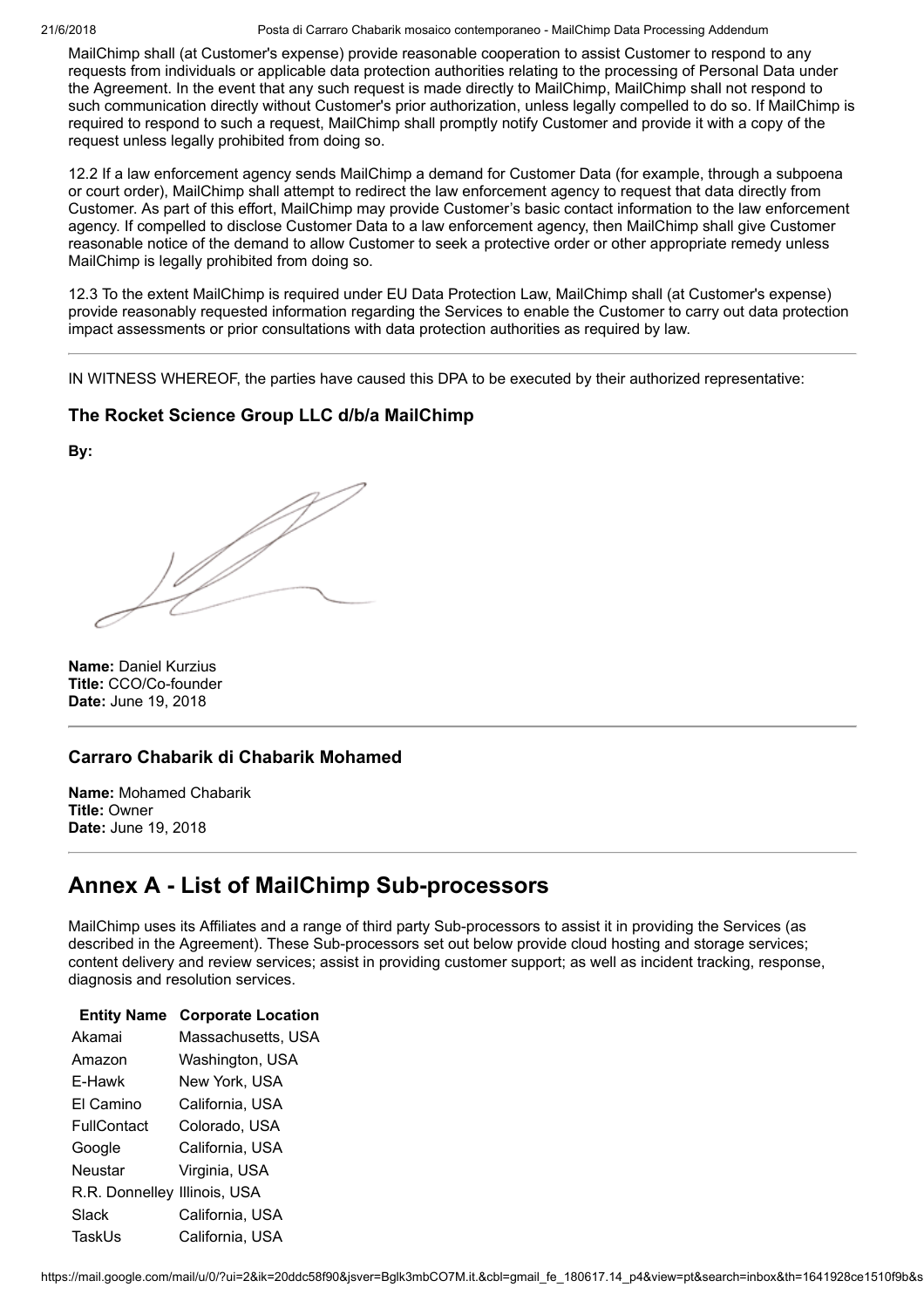21/6/2018 Posta di Carraro Chabarik mosaico contemporaneo - MailChimp Data Processing Addendum

MailChimp shall (at Customer's expense) provide reasonable cooperation to assist Customer to respond to any requests from individuals or applicable data protection authorities relating to the processing of Personal Data under the Agreement. In the event that any such request is made directly to MailChimp, MailChimp shall not respond to such communication directly without Customer's prior authorization, unless legally compelled to do so. If MailChimp is required to respond to such a request, MailChimp shall promptly notify Customer and provide it with a copy of the request unless legally prohibited from doing so.

12.2 If a law enforcement agency sends MailChimp a demand for Customer Data (for example, through a subpoena or court order), MailChimp shall attempt to redirect the law enforcement agency to request that data directly from Customer. As part of this effort, MailChimp may provide Customer's basic contact information to the law enforcement agency. If compelled to disclose Customer Data to a law enforcement agency, then MailChimp shall give Customer reasonable notice of the demand to allow Customer to seek a protective order or other appropriate remedy unless MailChimp is legally prohibited from doing so.

12.3 To the extent MailChimp is required under EU Data Protection Law, MailChimp shall (at Customer's expense) provide reasonably requested information regarding the Services to enable the Customer to carry out data protection impact assessments or prior consultations with data protection authorities as required by law.

IN WITNESS WHEREOF, the parties have caused this DPA to be executed by their authorized representative:

### The Rocket Science Group LLC d/b/a MailChimp

By:

Name: Daniel Kurzius Title: CCO/Co-founder Date: June 19, 2018

### Carraro Chabarik di Chabarik Mohamed

Name: Mohamed Chabarik Title: Owner Date: June 19, 2018

## Annex A - List of MailChimp Sub-processors

MailChimp uses its Affiliates and a range of third party Sub-processors to assist it in providing the Services (as described in the Agreement). These Sub-processors set out below provide cloud hosting and storage services; content delivery and review services; assist in providing customer support; as well as incident tracking, response, diagnosis and resolution services.

### Entity Name Corporate Location Akamai Massachusetts, USA Amazon Washington, USA E-Hawk New York, USA El Camino California, USA FullContact Colorado, USA Google California, USA Neustar Virginia, USA R.R. Donnelley Illinois, USA Slack California, USA TaskUs California, USA